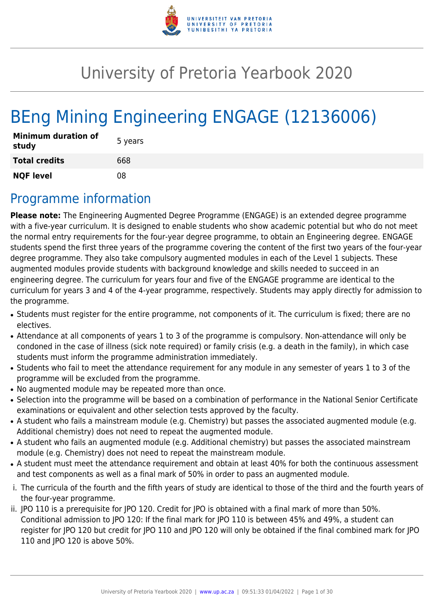

# University of Pretoria Yearbook 2020

# BEng Mining Engineering ENGAGE (12136006)

| <b>Minimum duration of</b><br>study | 5 years |
|-------------------------------------|---------|
| <b>Total credits</b>                | 668     |
| <b>NQF level</b>                    | በጸ      |

# Programme information

**Please note:** The Engineering Augmented Degree Programme (ENGAGE) is an extended degree programme with a five-year curriculum. It is designed to enable students who show academic potential but who do not meet the normal entry requirements for the four-year degree programme, to obtain an Engineering degree. ENGAGE students spend the first three years of the programme covering the content of the first two years of the four-year degree programme. They also take compulsory augmented modules in each of the Level 1 subjects. These augmented modules provide students with background knowledge and skills needed to succeed in an engineering degree. The curriculum for years four and five of the ENGAGE programme are identical to the curriculum for years 3 and 4 of the 4-year programme, respectively. Students may apply directly for admission to the programme.

- Students must register for the entire programme, not components of it. The curriculum is fixed; there are no electives.
- Attendance at all components of years 1 to 3 of the programme is compulsory. Non-attendance will only be condoned in the case of illness (sick note required) or family crisis (e.g. a death in the family), in which case students must inform the programme administration immediately.
- Students who fail to meet the attendance requirement for any module in any semester of years 1 to 3 of the programme will be excluded from the programme.
- No augmented module may be repeated more than once.
- Selection into the programme will be based on a combination of performance in the National Senior Certificate examinations or equivalent and other selection tests approved by the faculty.
- A student who fails a mainstream module (e.g. Chemistry) but passes the associated augmented module (e.g. Additional chemistry) does not need to repeat the augmented module.
- A student who fails an augmented module (e.g. Additional chemistry) but passes the associated mainstream module (e.g. Chemistry) does not need to repeat the mainstream module.
- A student must meet the attendance requirement and obtain at least 40% for both the continuous assessment and test components as well as a final mark of 50% in order to pass an augmented module.
- i. The curricula of the fourth and the fifth years of study are identical to those of the third and the fourth years of the four-year programme.
- ii. JPO 110 is a prerequisite for JPO 120. Credit for JPO is obtained with a final mark of more than 50%. Conditional admission to JPO 120: If the final mark for JPO 110 is between 45% and 49%, a student can register for JPO 120 but credit for JPO 110 and JPO 120 will only be obtained if the final combined mark for JPO 110 and JPO 120 is above 50%.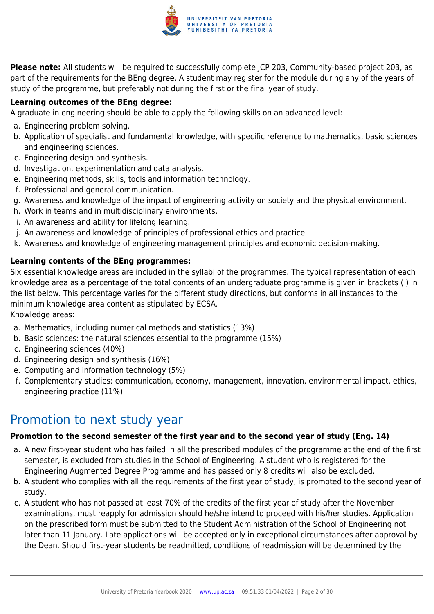

**Please note:** All students will be required to successfully complete JCP 203, Community-based project 203, as part of the requirements for the BEng degree. A student may register for the module during any of the years of study of the programme, but preferably not during the first or the final year of study.

## **Learning outcomes of the BEng degree:**

A graduate in engineering should be able to apply the following skills on an advanced level:

- a. Engineering problem solving.
- b. Application of specialist and fundamental knowledge, with specific reference to mathematics, basic sciences and engineering sciences.
- c. Engineering design and synthesis.
- d. Investigation, experimentation and data analysis.
- e. Engineering methods, skills, tools and information technology.
- f. Professional and general communication.
- g. Awareness and knowledge of the impact of engineering activity on society and the physical environment.
- h. Work in teams and in multidisciplinary environments.
- i. An awareness and ability for lifelong learning.
- j. An awareness and knowledge of principles of professional ethics and practice.
- k. Awareness and knowledge of engineering management principles and economic decision-making.

## **Learning contents of the BEng programmes:**

Six essential knowledge areas are included in the syllabi of the programmes. The typical representation of each knowledge area as a percentage of the total contents of an undergraduate programme is given in brackets ( ) in the list below. This percentage varies for the different study directions, but conforms in all instances to the minimum knowledge area content as stipulated by ECSA.

Knowledge areas:

- a. Mathematics, including numerical methods and statistics (13%)
- b. Basic sciences: the natural sciences essential to the programme (15%)
- c. Engineering sciences (40%)
- d. Engineering design and synthesis (16%)
- e. Computing and information technology (5%)
- f. Complementary studies: communication, economy, management, innovation, environmental impact, ethics, engineering practice (11%).

# Promotion to next study year

#### **Promotion to the second semester of the first year and to the second year of study (Eng. 14)**

- a. A new first-year student who has failed in all the prescribed modules of the programme at the end of the first semester, is excluded from studies in the School of Engineering. A student who is registered for the Engineering Augmented Degree Programme and has passed only 8 credits will also be excluded.
- b. A student who complies with all the requirements of the first year of study, is promoted to the second year of study.
- c. A student who has not passed at least 70% of the credits of the first year of study after the November examinations, must reapply for admission should he/she intend to proceed with his/her studies. Application on the prescribed form must be submitted to the Student Administration of the School of Engineering not later than 11 January. Late applications will be accepted only in exceptional circumstances after approval by the Dean. Should first-year students be readmitted, conditions of readmission will be determined by the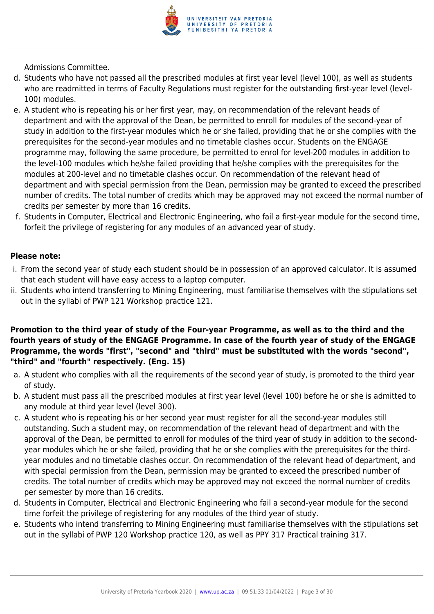

Admissions Committee.

- d. Students who have not passed all the prescribed modules at first year level (level 100), as well as students who are readmitted in terms of Faculty Regulations must register for the outstanding first-year level (level-100) modules.
- e. A student who is repeating his or her first year, may, on recommendation of the relevant heads of department and with the approval of the Dean, be permitted to enroll for modules of the second-year of study in addition to the first-year modules which he or she failed, providing that he or she complies with the prerequisites for the second-year modules and no timetable clashes occur. Students on the ENGAGE programme may, following the same procedure, be permitted to enrol for level-200 modules in addition to the level-100 modules which he/she failed providing that he/she complies with the prerequisites for the modules at 200-level and no timetable clashes occur. On recommendation of the relevant head of department and with special permission from the Dean, permission may be granted to exceed the prescribed number of credits. The total number of credits which may be approved may not exceed the normal number of credits per semester by more than 16 credits.
- f. Students in Computer, Electrical and Electronic Engineering, who fail a first-year module for the second time, forfeit the privilege of registering for any modules of an advanced year of study.

#### **Please note:**

- i. From the second year of study each student should be in possession of an approved calculator. It is assumed that each student will have easy access to a laptop computer.
- ii. Students who intend transferring to Mining Engineering, must familiarise themselves with the stipulations set out in the syllabi of PWP 121 Workshop practice 121.

## **Promotion to the third year of study of the Four-year Programme, as well as to the third and the fourth years of study of the ENGAGE Programme. In case of the fourth year of study of the ENGAGE Programme, the words "first", "second" and "third" must be substituted with the words "second", "third" and "fourth" respectively. (Eng. 15)**

- a. A student who complies with all the requirements of the second year of study, is promoted to the third year of study.
- b. A student must pass all the prescribed modules at first year level (level 100) before he or she is admitted to any module at third year level (level 300).
- c. A student who is repeating his or her second year must register for all the second-year modules still outstanding. Such a student may, on recommendation of the relevant head of department and with the approval of the Dean, be permitted to enroll for modules of the third year of study in addition to the secondyear modules which he or she failed, providing that he or she complies with the prerequisites for the thirdyear modules and no timetable clashes occur. On recommendation of the relevant head of department, and with special permission from the Dean, permission may be granted to exceed the prescribed number of credits. The total number of credits which may be approved may not exceed the normal number of credits per semester by more than 16 credits.
- d. Students in Computer, Electrical and Electronic Engineering who fail a second-year module for the second time forfeit the privilege of registering for any modules of the third year of study.
- e. Students who intend transferring to Mining Engineering must familiarise themselves with the stipulations set out in the syllabi of PWP 120 Workshop practice 120, as well as PPY 317 Practical training 317.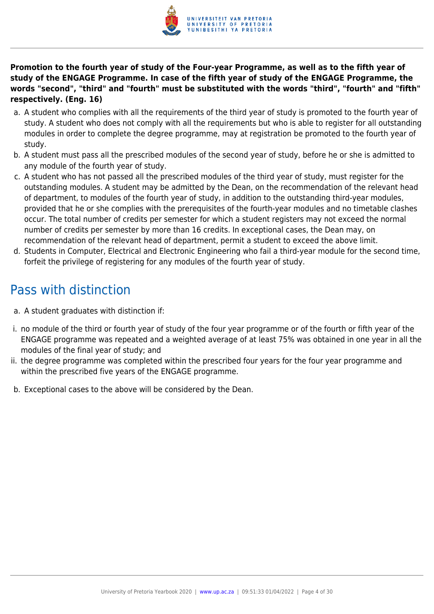

**Promotion to the fourth year of study of the Four-year Programme, as well as to the fifth year of study of the ENGAGE Programme. In case of the fifth year of study of the ENGAGE Programme, the words "second", "third" and "fourth" must be substituted with the words "third", "fourth" and "fifth" respectively. (Eng. 16)**

- a. A student who complies with all the requirements of the third year of study is promoted to the fourth year of study. A student who does not comply with all the requirements but who is able to register for all outstanding modules in order to complete the degree programme, may at registration be promoted to the fourth year of study.
- b. A student must pass all the prescribed modules of the second year of study, before he or she is admitted to any module of the fourth year of study.
- c. A student who has not passed all the prescribed modules of the third year of study, must register for the outstanding modules. A student may be admitted by the Dean, on the recommendation of the relevant head of department, to modules of the fourth year of study, in addition to the outstanding third-year modules, provided that he or she complies with the prerequisites of the fourth-year modules and no timetable clashes occur. The total number of credits per semester for which a student registers may not exceed the normal number of credits per semester by more than 16 credits. In exceptional cases, the Dean may, on recommendation of the relevant head of department, permit a student to exceed the above limit.
- d. Students in Computer, Electrical and Electronic Engineering who fail a third-year module for the second time, forfeit the privilege of registering for any modules of the fourth year of study.

# Pass with distinction

- a. A student graduates with distinction if:
- i. no module of the third or fourth year of study of the four year programme or of the fourth or fifth year of the ENGAGE programme was repeated and a weighted average of at least 75% was obtained in one year in all the modules of the final year of study; and
- ii. the degree programme was completed within the prescribed four years for the four year programme and within the prescribed five years of the ENGAGE programme.
- b. Exceptional cases to the above will be considered by the Dean.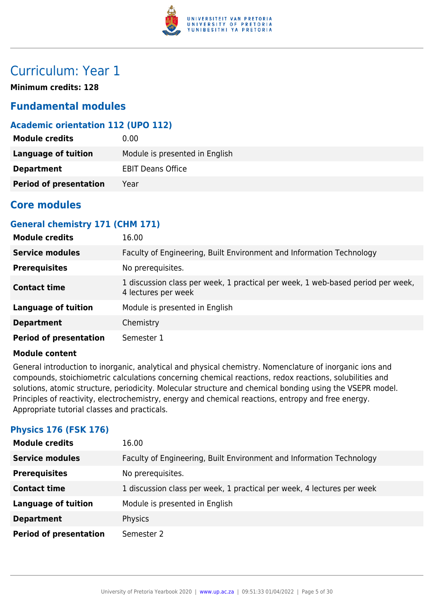

# Curriculum: Year 1

**Minimum credits: 128**

# **Fundamental modules**

# **Academic orientation 112 (UPO 112)**

| <b>Module credits</b>         | 0.00                           |
|-------------------------------|--------------------------------|
| Language of tuition           | Module is presented in English |
| <b>Department</b>             | <b>EBIT Deans Office</b>       |
| <b>Period of presentation</b> | Year                           |

# **Core modules**

# **General chemistry 171 (CHM 171)**

| <b>Module credits</b>         | 16.00                                                                                                  |
|-------------------------------|--------------------------------------------------------------------------------------------------------|
| <b>Service modules</b>        | Faculty of Engineering, Built Environment and Information Technology                                   |
| <b>Prerequisites</b>          | No prerequisites.                                                                                      |
| <b>Contact time</b>           | 1 discussion class per week, 1 practical per week, 1 web-based period per week,<br>4 lectures per week |
| <b>Language of tuition</b>    | Module is presented in English                                                                         |
| <b>Department</b>             | Chemistry                                                                                              |
| <b>Period of presentation</b> | Semester 1                                                                                             |

#### **Module content**

General introduction to inorganic, analytical and physical chemistry. Nomenclature of inorganic ions and compounds, stoichiometric calculations concerning chemical reactions, redox reactions, solubilities and solutions, atomic structure, periodicity. Molecular structure and chemical bonding using the VSEPR model. Principles of reactivity, electrochemistry, energy and chemical reactions, entropy and free energy. Appropriate tutorial classes and practicals.

# **Physics 176 (FSK 176)**

| <b>Module credits</b>         | 16.00                                                                  |
|-------------------------------|------------------------------------------------------------------------|
| <b>Service modules</b>        | Faculty of Engineering, Built Environment and Information Technology   |
| <b>Prerequisites</b>          | No prerequisites.                                                      |
| <b>Contact time</b>           | 1 discussion class per week, 1 practical per week, 4 lectures per week |
| <b>Language of tuition</b>    | Module is presented in English                                         |
| <b>Department</b>             | Physics                                                                |
| <b>Period of presentation</b> | Semester 2                                                             |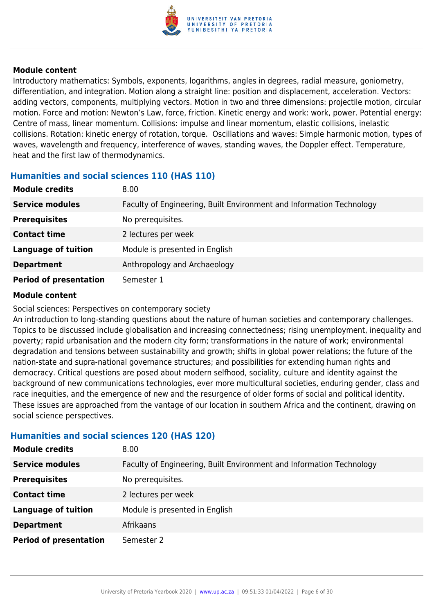

Introductory mathematics: Symbols, exponents, logarithms, angles in degrees, radial measure, goniometry, differentiation, and integration. Motion along a straight line: position and displacement, acceleration. Vectors: adding vectors, components, multiplying vectors. Motion in two and three dimensions: projectile motion, circular motion. Force and motion: Newton's Law, force, friction. Kinetic energy and work: work, power. Potential energy: Centre of mass, linear momentum. Collisions: impulse and linear momentum, elastic collisions, inelastic collisions. Rotation: kinetic energy of rotation, torque. Oscillations and waves: Simple harmonic motion, types of waves, wavelength and frequency, interference of waves, standing waves, the Doppler effect. Temperature, heat and the first law of thermodynamics.

# **Humanities and social sciences 110 (HAS 110)**

| <b>Module credits</b>         | 8.00                                                                 |
|-------------------------------|----------------------------------------------------------------------|
| <b>Service modules</b>        | Faculty of Engineering, Built Environment and Information Technology |
| <b>Prerequisites</b>          | No prerequisites.                                                    |
| <b>Contact time</b>           | 2 lectures per week                                                  |
| <b>Language of tuition</b>    | Module is presented in English                                       |
| <b>Department</b>             | Anthropology and Archaeology                                         |
| <b>Period of presentation</b> | Semester 1                                                           |

#### **Module content**

Social sciences: Perspectives on contemporary society

An introduction to long-standing questions about the nature of human societies and contemporary challenges. Topics to be discussed include globalisation and increasing connectedness; rising unemployment, inequality and poverty; rapid urbanisation and the modern city form; transformations in the nature of work; environmental degradation and tensions between sustainability and growth; shifts in global power relations; the future of the nation-state and supra-national governance structures; and possibilities for extending human rights and democracy. Critical questions are posed about modern selfhood, sociality, culture and identity against the background of new communications technologies, ever more multicultural societies, enduring gender, class and race inequities, and the emergence of new and the resurgence of older forms of social and political identity. These issues are approached from the vantage of our location in southern Africa and the continent, drawing on social science perspectives.

#### **Humanities and social sciences 120 (HAS 120)**

| <b>Module credits</b>         | 8.00                                                                 |
|-------------------------------|----------------------------------------------------------------------|
| <b>Service modules</b>        | Faculty of Engineering, Built Environment and Information Technology |
| <b>Prerequisites</b>          | No prerequisites.                                                    |
| <b>Contact time</b>           | 2 lectures per week                                                  |
| <b>Language of tuition</b>    | Module is presented in English                                       |
| <b>Department</b>             | Afrikaans                                                            |
| <b>Period of presentation</b> | Semester 2                                                           |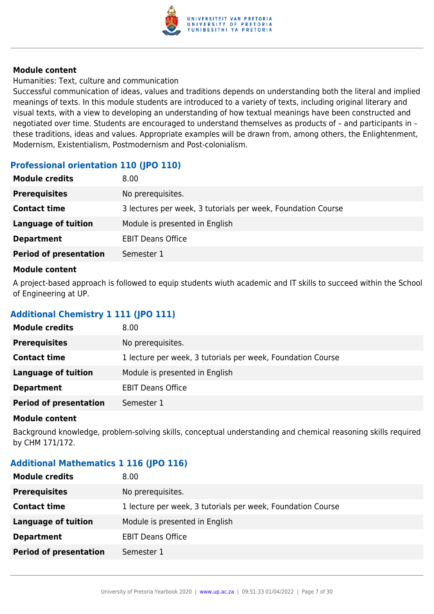

Humanities: Text, culture and communication

Successful communication of ideas, values and traditions depends on understanding both the literal and implied meanings of texts. In this module students are introduced to a variety of texts, including original literary and visual texts, with a view to developing an understanding of how textual meanings have been constructed and negotiated over time. Students are encouraged to understand themselves as products of – and participants in – these traditions, ideas and values. Appropriate examples will be drawn from, among others, the Enlightenment, Modernism, Existentialism, Postmodernism and Post-colonialism.

# **Professional orientation 110 (JPO 110)**

| <b>Module credits</b>         | 8.00                                                         |
|-------------------------------|--------------------------------------------------------------|
| <b>Prerequisites</b>          | No prerequisites.                                            |
| <b>Contact time</b>           | 3 lectures per week, 3 tutorials per week, Foundation Course |
| <b>Language of tuition</b>    | Module is presented in English                               |
| <b>Department</b>             | <b>EBIT Deans Office</b>                                     |
| <b>Period of presentation</b> | Semester 1                                                   |
|                               |                                                              |

#### **Module content**

A project-based approach is followed to equip students wiuth academic and IT skills to succeed within the School of Engineering at UP.

# **Additional Chemistry 1 111 (JPO 111)**

| <b>Module credits</b>         | 8.00                                                        |
|-------------------------------|-------------------------------------------------------------|
| <b>Prerequisites</b>          | No prerequisites.                                           |
| <b>Contact time</b>           | 1 lecture per week, 3 tutorials per week, Foundation Course |
| Language of tuition           | Module is presented in English                              |
| <b>Department</b>             | <b>EBIT Deans Office</b>                                    |
| <b>Period of presentation</b> | Semester 1                                                  |

#### **Module content**

Background knowledge, problem-solving skills, conceptual understanding and chemical reasoning skills required by CHM 171/172.

# **Additional Mathematics 1 116 (JPO 116)**

| <b>Prerequisites</b><br>No prerequisites.                                          |  |
|------------------------------------------------------------------------------------|--|
| <b>Contact time</b><br>1 lecture per week, 3 tutorials per week, Foundation Course |  |
| Module is presented in English<br>Language of tuition                              |  |
| <b>Department</b><br><b>EBIT Deans Office</b>                                      |  |
| <b>Period of presentation</b><br>Semester 1                                        |  |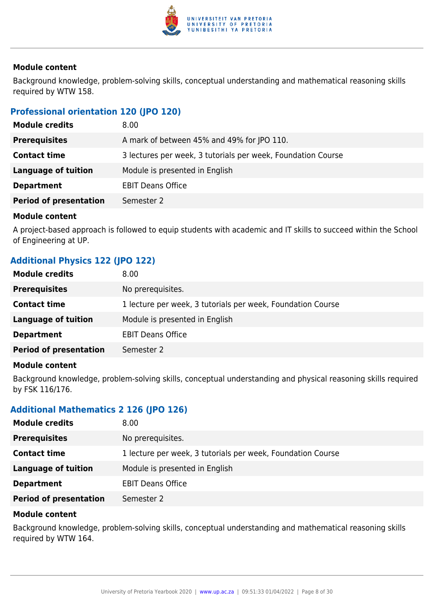

Background knowledge, problem-solving skills, conceptual understanding and mathematical reasoning skills required by WTW 158.

# **Professional orientation 120 (JPO 120)**

| <b>Module credits</b>         | 8.00                                                         |
|-------------------------------|--------------------------------------------------------------|
| <b>Prerequisites</b>          | A mark of between 45% and 49% for JPO 110.                   |
| <b>Contact time</b>           | 3 lectures per week, 3 tutorials per week, Foundation Course |
| <b>Language of tuition</b>    | Module is presented in English                               |
| <b>Department</b>             | <b>EBIT Deans Office</b>                                     |
| <b>Period of presentation</b> | Semester 2                                                   |

#### **Module content**

A project-based approach is followed to equip students with academic and IT skills to succeed within the School of Engineering at UP.

# **Additional Physics 122 (JPO 122)**

| <b>Module credits</b>         | 8.00                                                        |
|-------------------------------|-------------------------------------------------------------|
| <b>Prerequisites</b>          | No prerequisites.                                           |
| <b>Contact time</b>           | 1 lecture per week, 3 tutorials per week, Foundation Course |
| <b>Language of tuition</b>    | Module is presented in English                              |
| <b>Department</b>             | <b>EBIT Deans Office</b>                                    |
| <b>Period of presentation</b> | Semester 2                                                  |
|                               |                                                             |

#### **Module content**

Background knowledge, problem-solving skills, conceptual understanding and physical reasoning skills required by FSK 116/176.

# **Additional Mathematics 2 126 (JPO 126)**

| <b>Module credits</b>         | 8.00                                                        |
|-------------------------------|-------------------------------------------------------------|
| <b>Prerequisites</b>          | No prerequisites.                                           |
| <b>Contact time</b>           | 1 lecture per week, 3 tutorials per week, Foundation Course |
| Language of tuition           | Module is presented in English                              |
| <b>Department</b>             | <b>EBIT Deans Office</b>                                    |
| <b>Period of presentation</b> | Semester 2                                                  |

#### **Module content**

Background knowledge, problem-solving skills, conceptual understanding and mathematical reasoning skills required by WTW 164.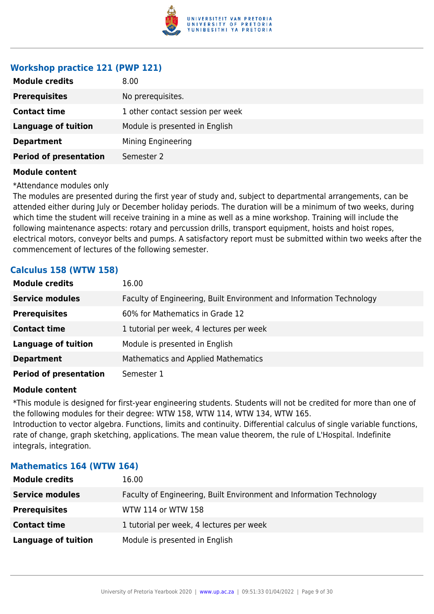

# **Workshop practice 121 (PWP 121)**

| <b>Module credits</b>         | 8.00                             |
|-------------------------------|----------------------------------|
| <b>Prerequisites</b>          | No prerequisites.                |
| <b>Contact time</b>           | 1 other contact session per week |
| <b>Language of tuition</b>    | Module is presented in English   |
| <b>Department</b>             | Mining Engineering               |
| <b>Period of presentation</b> | Semester 2                       |

#### **Module content**

\*Attendance modules only

The modules are presented during the first year of study and, subject to departmental arrangements, can be attended either during July or December holiday periods. The duration will be a minimum of two weeks, during which time the student will receive training in a mine as well as a mine workshop. Training will include the following maintenance aspects: rotary and percussion drills, transport equipment, hoists and hoist ropes, electrical motors, conveyor belts and pumps. A satisfactory report must be submitted within two weeks after the commencement of lectures of the following semester.

## **Calculus 158 (WTW 158)**

| <b>Module credits</b>         | 16.00                                                                |
|-------------------------------|----------------------------------------------------------------------|
| <b>Service modules</b>        | Faculty of Engineering, Built Environment and Information Technology |
| <b>Prerequisites</b>          | 60% for Mathematics in Grade 12                                      |
| <b>Contact time</b>           | 1 tutorial per week, 4 lectures per week                             |
| <b>Language of tuition</b>    | Module is presented in English                                       |
| <b>Department</b>             | <b>Mathematics and Applied Mathematics</b>                           |
| <b>Period of presentation</b> | Semester 1                                                           |

## **Module content**

\*This module is designed for first-year engineering students. Students will not be credited for more than one of the following modules for their degree: WTW 158, WTW 114, WTW 134, WTW 165. Introduction to vector algebra. Functions, limits and continuity. Differential calculus of single variable functions, rate of change, graph sketching, applications. The mean value theorem, the rule of L'Hospital. Indefinite integrals, integration.

#### **Mathematics 164 (WTW 164)**

| <b>Module credits</b>      | 16.00                                                                |
|----------------------------|----------------------------------------------------------------------|
| <b>Service modules</b>     | Faculty of Engineering, Built Environment and Information Technology |
| <b>Prerequisites</b>       | WTW 114 or WTW 158                                                   |
| <b>Contact time</b>        | 1 tutorial per week, 4 lectures per week                             |
| <b>Language of tuition</b> | Module is presented in English                                       |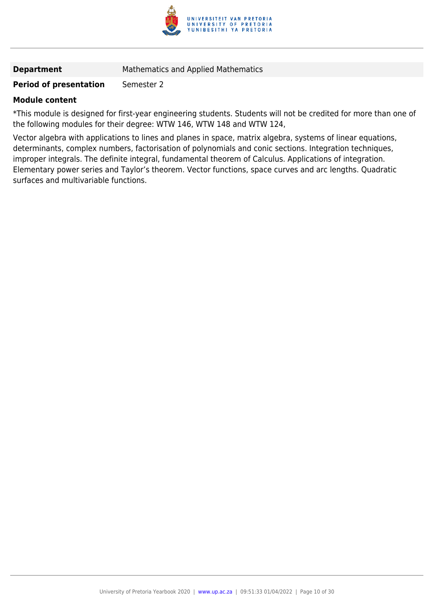

**Department** Mathematics and Applied Mathematics

#### **Period of presentation** Semester 2

#### **Module content**

\*This module is designed for first-year engineering students. Students will not be credited for more than one of the following modules for their degree: WTW 146, WTW 148 and WTW 124,

Vector algebra with applications to lines and planes in space, matrix algebra, systems of linear equations, determinants, complex numbers, factorisation of polynomials and conic sections. Integration techniques, improper integrals. The definite integral, fundamental theorem of Calculus. Applications of integration. Elementary power series and Taylor's theorem. Vector functions, space curves and arc lengths. Quadratic surfaces and multivariable functions.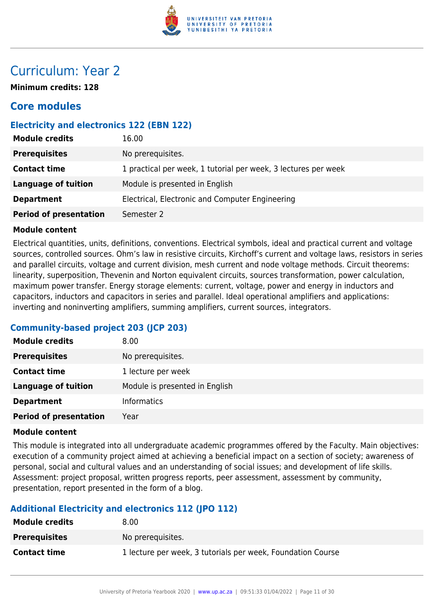

# Curriculum: Year 2

**Minimum credits: 128**

# **Core modules**

# **Electricity and electronics 122 (EBN 122)**

| <b>Module credits</b>         | 16.00                                                          |
|-------------------------------|----------------------------------------------------------------|
| <b>Prerequisites</b>          | No prerequisites.                                              |
| <b>Contact time</b>           | 1 practical per week, 1 tutorial per week, 3 lectures per week |
| Language of tuition           | Module is presented in English                                 |
| <b>Department</b>             | Electrical, Electronic and Computer Engineering                |
| <b>Period of presentation</b> | Semester 2                                                     |

#### **Module content**

Electrical quantities, units, definitions, conventions. Electrical symbols, ideal and practical current and voltage sources, controlled sources. Ohm's law in resistive circuits, Kirchoff's current and voltage laws, resistors in series and parallel circuits, voltage and current division, mesh current and node voltage methods. Circuit theorems: linearity, superposition, Thevenin and Norton equivalent circuits, sources transformation, power calculation, maximum power transfer. Energy storage elements: current, voltage, power and energy in inductors and capacitors, inductors and capacitors in series and parallel. Ideal operational amplifiers and applications: inverting and noninverting amplifiers, summing amplifiers, current sources, integrators.

# **Community-based project 203 (JCP 203)**

| <b>Module credits</b>         | 8.00                           |
|-------------------------------|--------------------------------|
| <b>Prerequisites</b>          | No prerequisites.              |
| <b>Contact time</b>           | 1 lecture per week             |
| <b>Language of tuition</b>    | Module is presented in English |
| <b>Department</b>             | <b>Informatics</b>             |
| <b>Period of presentation</b> | Year                           |

#### **Module content**

This module is integrated into all undergraduate academic programmes offered by the Faculty. Main objectives: execution of a community project aimed at achieving a beneficial impact on a section of society; awareness of personal, social and cultural values and an understanding of social issues; and development of life skills. Assessment: project proposal, written progress reports, peer assessment, assessment by community, presentation, report presented in the form of a blog.

# **Additional Electricity and electronics 112 (JPO 112)**

| <b>Module credits</b> | 8.00                                                        |
|-----------------------|-------------------------------------------------------------|
| <b>Prerequisites</b>  | No prerequisites.                                           |
| <b>Contact time</b>   | 1 lecture per week, 3 tutorials per week, Foundation Course |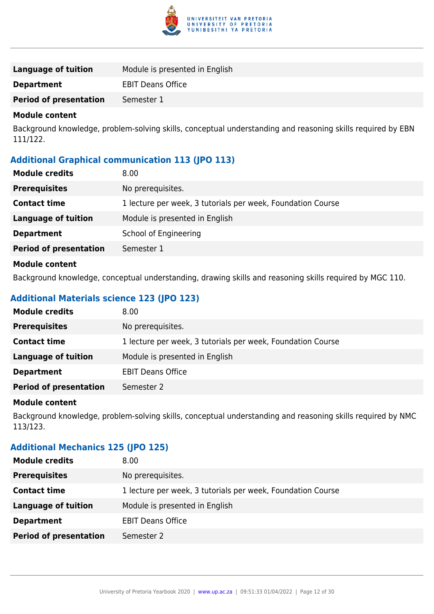

| Language of tuition           | Module is presented in English |
|-------------------------------|--------------------------------|
| <b>Department</b>             | <b>EBIT Deans Office</b>       |
| <b>Period of presentation</b> | Semester 1                     |

Background knowledge, problem-solving skills, conceptual understanding and reasoning skills required by EBN 111/122.

# **Additional Graphical communication 113 (JPO 113)**

| <b>Module credits</b>         | 8.00                                                        |
|-------------------------------|-------------------------------------------------------------|
| <b>Prerequisites</b>          | No prerequisites.                                           |
| <b>Contact time</b>           | 1 lecture per week, 3 tutorials per week, Foundation Course |
| <b>Language of tuition</b>    | Module is presented in English                              |
| <b>Department</b>             | School of Engineering                                       |
| <b>Period of presentation</b> | Semester 1                                                  |
| <b>Module content</b>         |                                                             |

Background knowledge, conceptual understanding, drawing skills and reasoning skills required by MGC 110.

# **Additional Materials science 123 (JPO 123)**

| <b>Module credits</b>         | 8.00                                                        |
|-------------------------------|-------------------------------------------------------------|
| <b>Prerequisites</b>          | No prerequisites.                                           |
| <b>Contact time</b>           | 1 lecture per week, 3 tutorials per week, Foundation Course |
| Language of tuition           | Module is presented in English                              |
| <b>Department</b>             | <b>EBIT Deans Office</b>                                    |
| <b>Period of presentation</b> | Semester 2                                                  |

#### **Module content**

Background knowledge, problem-solving skills, conceptual understanding and reasoning skills required by NMC 113/123.

# **Additional Mechanics 125 (JPO 125)**

| <b>Module credits</b>         | 8.00                                                        |
|-------------------------------|-------------------------------------------------------------|
| <b>Prerequisites</b>          | No prerequisites.                                           |
| <b>Contact time</b>           | 1 lecture per week, 3 tutorials per week, Foundation Course |
| <b>Language of tuition</b>    | Module is presented in English                              |
| <b>Department</b>             | <b>EBIT Deans Office</b>                                    |
| <b>Period of presentation</b> | Semester 2                                                  |
|                               |                                                             |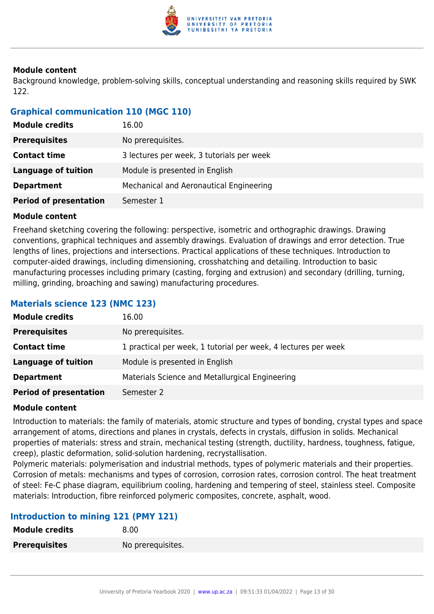

Background knowledge, problem-solving skills, conceptual understanding and reasoning skills required by SWK 122.

# **Graphical communication 110 (MGC 110)**

| <b>Module credits</b>         | 16.00                                     |
|-------------------------------|-------------------------------------------|
| <b>Prerequisites</b>          | No prerequisites.                         |
| <b>Contact time</b>           | 3 lectures per week, 3 tutorials per week |
| <b>Language of tuition</b>    | Module is presented in English            |
| <b>Department</b>             | Mechanical and Aeronautical Engineering   |
| <b>Period of presentation</b> | Semester 1                                |

## **Module content**

Freehand sketching covering the following: perspective, isometric and orthographic drawings. Drawing conventions, graphical techniques and assembly drawings. Evaluation of drawings and error detection. True lengths of lines, projections and intersections. Practical applications of these techniques. Introduction to computer-aided drawings, including dimensioning, crosshatching and detailing. Introduction to basic manufacturing processes including primary (casting, forging and extrusion) and secondary (drilling, turning, milling, grinding, broaching and sawing) manufacturing procedures.

# **Materials science 123 (NMC 123)**

| <b>Module credits</b>         | 16.00                                                          |
|-------------------------------|----------------------------------------------------------------|
| <b>Prerequisites</b>          | No prerequisites.                                              |
| <b>Contact time</b>           | 1 practical per week, 1 tutorial per week, 4 lectures per week |
| Language of tuition           | Module is presented in English                                 |
| <b>Department</b>             | Materials Science and Metallurgical Engineering                |
| <b>Period of presentation</b> | Semester 2                                                     |

#### **Module content**

Introduction to materials: the family of materials, atomic structure and types of bonding, crystal types and space arrangement of atoms, directions and planes in crystals, defects in crystals, diffusion in solids. Mechanical properties of materials: stress and strain, mechanical testing (strength, ductility, hardness, toughness, fatigue, creep), plastic deformation, solid-solution hardening, recrystallisation.

Polymeric materials: polymerisation and industrial methods, types of polymeric materials and their properties. Corrosion of metals: mechanisms and types of corrosion, corrosion rates, corrosion control. The heat treatment of steel: Fe-C phase diagram, equilibrium cooling, hardening and tempering of steel, stainless steel. Composite materials: Introduction, fibre reinforced polymeric composites, concrete, asphalt, wood.

# **Introduction to mining 121 (PMY 121)**

| <b>Module credits</b> | 8.00              |
|-----------------------|-------------------|
| <b>Prerequisites</b>  | No prerequisites. |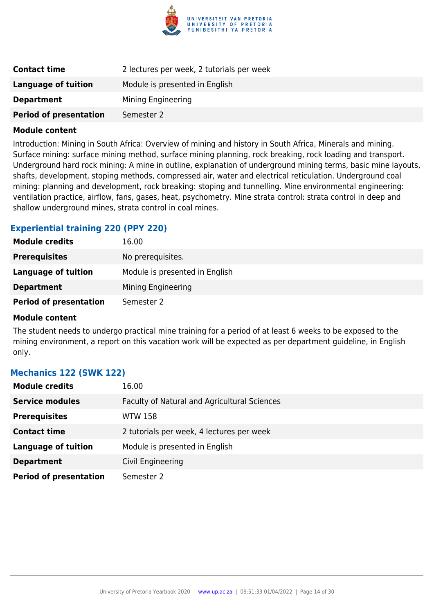

| <b>Contact time</b>           | 2 lectures per week, 2 tutorials per week |
|-------------------------------|-------------------------------------------|
| Language of tuition           | Module is presented in English            |
| <b>Department</b>             | Mining Engineering                        |
| <b>Period of presentation</b> | Semester 2                                |

Introduction: Mining in South Africa: Overview of mining and history in South Africa, Minerals and mining. Surface mining: surface mining method, surface mining planning, rock breaking, rock loading and transport. Underground hard rock mining: A mine in outline, explanation of underground mining terms, basic mine layouts, shafts, development, stoping methods, compressed air, water and electrical reticulation. Underground coal mining: planning and development, rock breaking: stoping and tunnelling. Mine environmental engineering: ventilation practice, airflow, fans, gases, heat, psychometry. Mine strata control: strata control in deep and shallow underground mines, strata control in coal mines.

#### **Experiential training 220 (PPY 220)**

| <b>Module credits</b>         | 16.00                          |
|-------------------------------|--------------------------------|
| <b>Prerequisites</b>          | No prerequisites.              |
| Language of tuition           | Module is presented in English |
| <b>Department</b>             | Mining Engineering             |
| <b>Period of presentation</b> | Semester 2                     |

#### **Module content**

The student needs to undergo practical mine training for a period of at least 6 weeks to be exposed to the mining environment, a report on this vacation work will be expected as per department guideline, in English only.

#### **Mechanics 122 (SWK 122)**

| <b>Module credits</b>         | 16.00                                        |
|-------------------------------|----------------------------------------------|
| <b>Service modules</b>        | Faculty of Natural and Agricultural Sciences |
| <b>Prerequisites</b>          | WTW 158                                      |
| <b>Contact time</b>           | 2 tutorials per week, 4 lectures per week    |
| <b>Language of tuition</b>    | Module is presented in English               |
| <b>Department</b>             | Civil Engineering                            |
| <b>Period of presentation</b> | Semester 2                                   |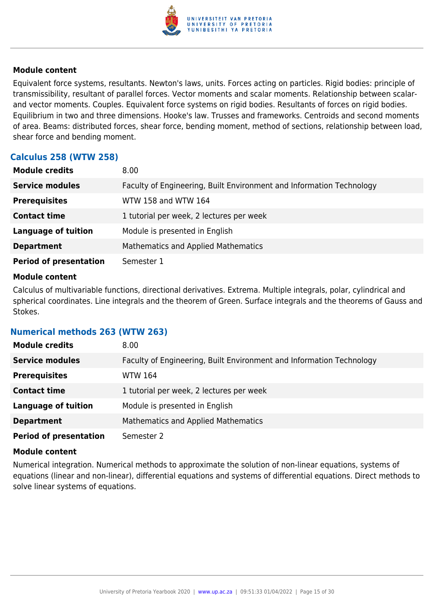

Equivalent force systems, resultants. Newton's laws, units. Forces acting on particles. Rigid bodies: principle of transmissibility, resultant of parallel forces. Vector moments and scalar moments. Relationship between scalarand vector moments. Couples. Equivalent force systems on rigid bodies. Resultants of forces on rigid bodies. Equilibrium in two and three dimensions. Hooke's law. Trusses and frameworks. Centroids and second moments of area. Beams: distributed forces, shear force, bending moment, method of sections, relationship between load, shear force and bending moment.

# **Calculus 258 (WTW 258)**

| <b>Module credits</b>         | 8.00                                                                 |
|-------------------------------|----------------------------------------------------------------------|
| <b>Service modules</b>        | Faculty of Engineering, Built Environment and Information Technology |
| <b>Prerequisites</b>          | WTW 158 and WTW 164                                                  |
| <b>Contact time</b>           | 1 tutorial per week, 2 lectures per week                             |
| <b>Language of tuition</b>    | Module is presented in English                                       |
| <b>Department</b>             | <b>Mathematics and Applied Mathematics</b>                           |
| <b>Period of presentation</b> | Semester 1                                                           |

#### **Module content**

Calculus of multivariable functions, directional derivatives. Extrema. Multiple integrals, polar, cylindrical and spherical coordinates. Line integrals and the theorem of Green. Surface integrals and the theorems of Gauss and Stokes.

#### **Numerical methods 263 (WTW 263)**

| <b>Module credits</b>         | 8.00                                                                 |
|-------------------------------|----------------------------------------------------------------------|
| <b>Service modules</b>        | Faculty of Engineering, Built Environment and Information Technology |
| <b>Prerequisites</b>          | WTW 164                                                              |
| <b>Contact time</b>           | 1 tutorial per week, 2 lectures per week                             |
| <b>Language of tuition</b>    | Module is presented in English                                       |
| <b>Department</b>             | Mathematics and Applied Mathematics                                  |
| <b>Period of presentation</b> | Semester 2                                                           |

#### **Module content**

Numerical integration. Numerical methods to approximate the solution of non-linear equations, systems of equations (linear and non-linear), differential equations and systems of differential equations. Direct methods to solve linear systems of equations.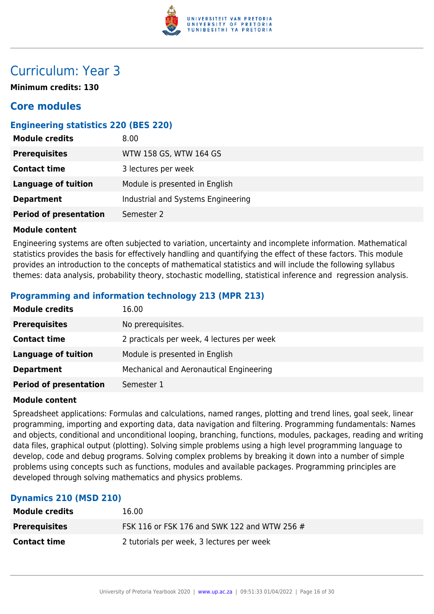

# Curriculum: Year 3

**Minimum credits: 130**

# **Core modules**

# **Engineering statistics 220 (BES 220)**

| <b>Module credits</b>         | 8.00                               |
|-------------------------------|------------------------------------|
| <b>Prerequisites</b>          | WTW 158 GS, WTW 164 GS             |
| <b>Contact time</b>           | 3 lectures per week                |
| <b>Language of tuition</b>    | Module is presented in English     |
| <b>Department</b>             | Industrial and Systems Engineering |
| <b>Period of presentation</b> | Semester 2                         |

#### **Module content**

Engineering systems are often subjected to variation, uncertainty and incomplete information. Mathematical statistics provides the basis for effectively handling and quantifying the effect of these factors. This module provides an introduction to the concepts of mathematical statistics and will include the following syllabus themes: data analysis, probability theory, stochastic modelling, statistical inference and regression analysis.

# **Programming and information technology 213 (MPR 213)**

| <b>Module credits</b>         | 16.00                                      |
|-------------------------------|--------------------------------------------|
| <b>Prerequisites</b>          | No prerequisites.                          |
| <b>Contact time</b>           | 2 practicals per week, 4 lectures per week |
| <b>Language of tuition</b>    | Module is presented in English             |
| <b>Department</b>             | Mechanical and Aeronautical Engineering    |
| <b>Period of presentation</b> | Semester 1                                 |

#### **Module content**

Spreadsheet applications: Formulas and calculations, named ranges, plotting and trend lines, goal seek, linear programming, importing and exporting data, data navigation and filtering. Programming fundamentals: Names and objects, conditional and unconditional looping, branching, functions, modules, packages, reading and writing data files, graphical output (plotting). Solving simple problems using a high level programming language to develop, code and debug programs. Solving complex problems by breaking it down into a number of simple problems using concepts such as functions, modules and available packages. Programming principles are developed through solving mathematics and physics problems.

#### **Dynamics 210 (MSD 210)**

| <b>Module credits</b> | 16.00                                        |
|-----------------------|----------------------------------------------|
| <b>Prerequisites</b>  | FSK 116 or FSK 176 and SWK 122 and WTW 256 # |
| <b>Contact time</b>   | 2 tutorials per week, 3 lectures per week    |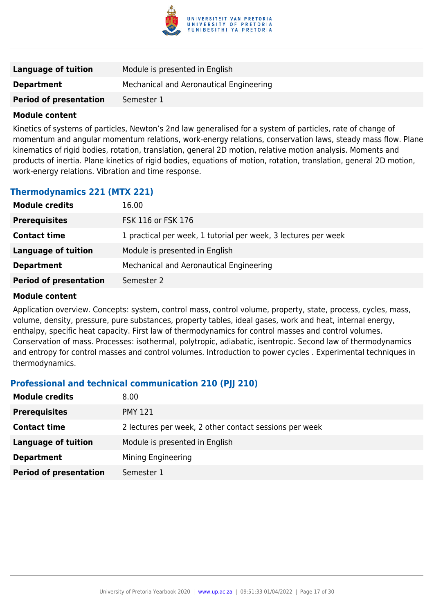

| Language of tuition           | Module is presented in English          |
|-------------------------------|-----------------------------------------|
| <b>Department</b>             | Mechanical and Aeronautical Engineering |
| <b>Period of presentation</b> | Semester 1                              |

Kinetics of systems of particles, Newton's 2nd law generalised for a system of particles, rate of change of momentum and angular momentum relations, work-energy relations, conservation laws, steady mass flow. Plane kinematics of rigid bodies, rotation, translation, general 2D motion, relative motion analysis. Moments and products of inertia. Plane kinetics of rigid bodies, equations of motion, rotation, translation, general 2D motion, work-energy relations. Vibration and time response.

## **Thermodynamics 221 (MTX 221)**

| <b>Module credits</b>         | 16.00                                                          |
|-------------------------------|----------------------------------------------------------------|
| <b>Prerequisites</b>          | FSK 116 or FSK 176                                             |
| <b>Contact time</b>           | 1 practical per week, 1 tutorial per week, 3 lectures per week |
| <b>Language of tuition</b>    | Module is presented in English                                 |
| <b>Department</b>             | Mechanical and Aeronautical Engineering                        |
| <b>Period of presentation</b> | Semester 2                                                     |

#### **Module content**

Application overview. Concepts: system, control mass, control volume, property, state, process, cycles, mass, volume, density, pressure, pure substances, property tables, ideal gases, work and heat, internal energy, enthalpy, specific heat capacity. First law of thermodynamics for control masses and control volumes. Conservation of mass. Processes: isothermal, polytropic, adiabatic, isentropic. Second law of thermodynamics and entropy for control masses and control volumes. Introduction to power cycles . Experimental techniques in thermodynamics.

# **Professional and technical communication 210 (PJJ 210)**

| <b>Module credits</b>         | 8.00                                                   |
|-------------------------------|--------------------------------------------------------|
| <b>Prerequisites</b>          | <b>PMY 121</b>                                         |
| <b>Contact time</b>           | 2 lectures per week, 2 other contact sessions per week |
| Language of tuition           | Module is presented in English                         |
| <b>Department</b>             | Mining Engineering                                     |
| <b>Period of presentation</b> | Semester 1                                             |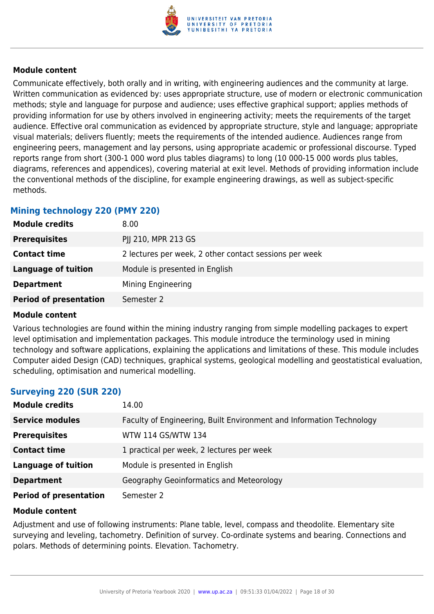

Communicate effectively, both orally and in writing, with engineering audiences and the community at large. Written communication as evidenced by: uses appropriate structure, use of modern or electronic communication methods; style and language for purpose and audience; uses effective graphical support; applies methods of providing information for use by others involved in engineering activity; meets the requirements of the target audience. Effective oral communication as evidenced by appropriate structure, style and language; appropriate visual materials; delivers fluently; meets the requirements of the intended audience. Audiences range from engineering peers, management and lay persons, using appropriate academic or professional discourse. Typed reports range from short (300-1 000 word plus tables diagrams) to long (10 000-15 000 words plus tables, diagrams, references and appendices), covering material at exit level. Methods of providing information include the conventional methods of the discipline, for example engineering drawings, as well as subject-specific methods.

# **Mining technology 220 (PMY 220)**

| <b>Module credits</b>         | 8.00                                                   |
|-------------------------------|--------------------------------------------------------|
| <b>Prerequisites</b>          | PJJ 210, MPR 213 GS                                    |
| <b>Contact time</b>           | 2 lectures per week, 2 other contact sessions per week |
| <b>Language of tuition</b>    | Module is presented in English                         |
| <b>Department</b>             | Mining Engineering                                     |
| <b>Period of presentation</b> | Semester 2                                             |

#### **Module content**

Various technologies are found within the mining industry ranging from simple modelling packages to expert level optimisation and implementation packages. This module introduce the terminology used in mining technology and software applications, explaining the applications and limitations of these. This module includes Computer aided Design (CAD) techniques, graphical systems, geological modelling and geostatistical evaluation, scheduling, optimisation and numerical modelling.

# **Surveying 220 (SUR 220)**

| <b>Module credits</b>         | 14.00                                                                |
|-------------------------------|----------------------------------------------------------------------|
| <b>Service modules</b>        | Faculty of Engineering, Built Environment and Information Technology |
| <b>Prerequisites</b>          | WTW 114 GS/WTW 134                                                   |
| <b>Contact time</b>           | 1 practical per week, 2 lectures per week                            |
| <b>Language of tuition</b>    | Module is presented in English                                       |
| <b>Department</b>             | Geography Geoinformatics and Meteorology                             |
| <b>Period of presentation</b> | Semester 2                                                           |

#### **Module content**

Adjustment and use of following instruments: Plane table, level, compass and theodolite. Elementary site surveying and leveling, tachometry. Definition of survey. Co-ordinate systems and bearing. Connections and polars. Methods of determining points. Elevation. Tachometry.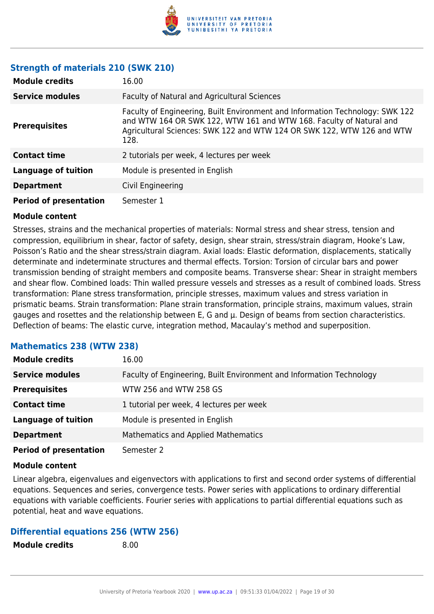

## **Strength of materials 210 (SWK 210)**

| <b>Module credits</b>         | 16.00                                                                                                                                                                                                                                  |
|-------------------------------|----------------------------------------------------------------------------------------------------------------------------------------------------------------------------------------------------------------------------------------|
| <b>Service modules</b>        | Faculty of Natural and Agricultural Sciences                                                                                                                                                                                           |
| <b>Prerequisites</b>          | Faculty of Engineering, Built Environment and Information Technology: SWK 122<br>and WTW 164 OR SWK 122, WTW 161 and WTW 168. Faculty of Natural and<br>Agricultural Sciences: SWK 122 and WTW 124 OR SWK 122, WTW 126 and WTW<br>128. |
| <b>Contact time</b>           | 2 tutorials per week, 4 lectures per week                                                                                                                                                                                              |
| Language of tuition           | Module is presented in English                                                                                                                                                                                                         |
| <b>Department</b>             | Civil Engineering                                                                                                                                                                                                                      |
| <b>Period of presentation</b> | Semester 1                                                                                                                                                                                                                             |

#### **Module content**

Stresses, strains and the mechanical properties of materials: Normal stress and shear stress, tension and compression, equilibrium in shear, factor of safety, design, shear strain, stress/strain diagram, Hooke's Law, Poisson's Ratio and the shear stress/strain diagram. Axial loads: Elastic deformation, displacements, statically determinate and indeterminate structures and thermal effects. Torsion: Torsion of circular bars and power transmission bending of straight members and composite beams. Transverse shear: Shear in straight members and shear flow. Combined loads: Thin walled pressure vessels and stresses as a result of combined loads. Stress transformation: Plane stress transformation, principle stresses, maximum values and stress variation in prismatic beams. Strain transformation: Plane strain transformation, principle strains, maximum values, strain gauges and rosettes and the relationship between E, G and µ. Design of beams from section characteristics. Deflection of beams: The elastic curve, integration method, Macaulay's method and superposition.

#### **Mathematics 238 (WTW 238)**

| <b>Module credits</b>         | 16.00                                                                |
|-------------------------------|----------------------------------------------------------------------|
| <b>Service modules</b>        | Faculty of Engineering, Built Environment and Information Technology |
| <b>Prerequisites</b>          | WTW 256 and WTW 258 GS                                               |
| <b>Contact time</b>           | 1 tutorial per week, 4 lectures per week                             |
| <b>Language of tuition</b>    | Module is presented in English                                       |
| <b>Department</b>             | <b>Mathematics and Applied Mathematics</b>                           |
| <b>Period of presentation</b> | Semester 2                                                           |

#### **Module content**

Linear algebra, eigenvalues and eigenvectors with applications to first and second order systems of differential equations. Sequences and series, convergence tests. Power series with applications to ordinary differential equations with variable coefficients. Fourier series with applications to partial differential equations such as potential, heat and wave equations.

#### **Differential equations 256 (WTW 256)**

| <b>Module credits</b> | 8.00 |
|-----------------------|------|
|                       |      |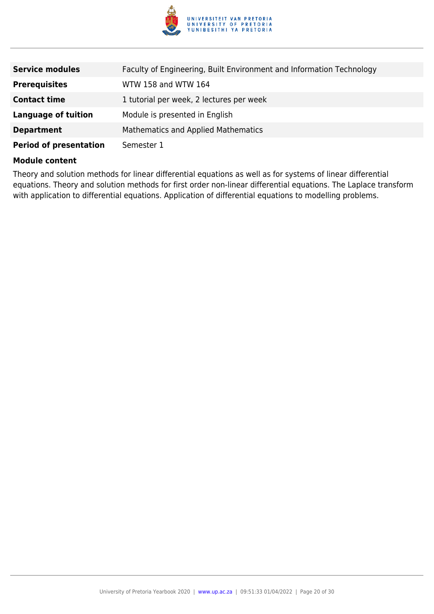

| <b>Service modules</b>        | Faculty of Engineering, Built Environment and Information Technology |
|-------------------------------|----------------------------------------------------------------------|
| <b>Prerequisites</b>          | WTW 158 and WTW 164                                                  |
| <b>Contact time</b>           | 1 tutorial per week, 2 lectures per week                             |
| <b>Language of tuition</b>    | Module is presented in English                                       |
| <b>Department</b>             | Mathematics and Applied Mathematics                                  |
| <b>Period of presentation</b> | Semester 1                                                           |

Theory and solution methods for linear differential equations as well as for systems of linear differential equations. Theory and solution methods for first order non-linear differential equations. The Laplace transform with application to differential equations. Application of differential equations to modelling problems.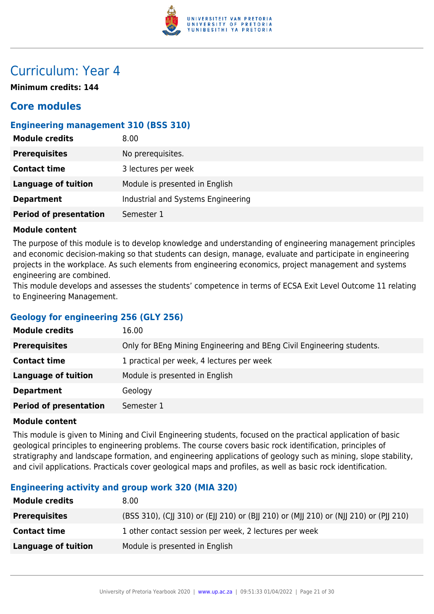

# Curriculum: Year 4

**Minimum credits: 144**

# **Core modules**

# **Engineering management 310 (BSS 310)**

| <b>Module credits</b>         | 8.00                               |
|-------------------------------|------------------------------------|
| <b>Prerequisites</b>          | No prerequisites.                  |
| <b>Contact time</b>           | 3 lectures per week                |
| Language of tuition           | Module is presented in English     |
| <b>Department</b>             | Industrial and Systems Engineering |
| <b>Period of presentation</b> | Semester 1                         |

#### **Module content**

The purpose of this module is to develop knowledge and understanding of engineering management principles and economic decision-making so that students can design, manage, evaluate and participate in engineering projects in the workplace. As such elements from engineering economics, project management and systems engineering are combined.

This module develops and assesses the students' competence in terms of ECSA Exit Level Outcome 11 relating to Engineering Management.

# **Geology for engineering 256 (GLY 256)**

| <b>Module credits</b>         | 16.00                                                                 |
|-------------------------------|-----------------------------------------------------------------------|
| <b>Prerequisites</b>          | Only for BEng Mining Engineering and BEng Civil Engineering students. |
| <b>Contact time</b>           | 1 practical per week, 4 lectures per week                             |
| Language of tuition           | Module is presented in English                                        |
| <b>Department</b>             | Geology                                                               |
| <b>Period of presentation</b> | Semester 1                                                            |

#### **Module content**

This module is given to Mining and Civil Engineering students, focused on the practical application of basic geological principles to engineering problems. The course covers basic rock identification, principles of stratigraphy and landscape formation, and engineering applications of geology such as mining, slope stability, and civil applications. Practicals cover geological maps and profiles, as well as basic rock identification.

# **Engineering activity and group work 320 (MIA 320)**

| <b>Module credits</b> | 8.00                                                                                  |
|-----------------------|---------------------------------------------------------------------------------------|
| <b>Prerequisites</b>  | (BSS 310), (CJJ 310) or (EJJ 210) or (BJJ 210) or (MJJ 210) or (NJJ 210) or (PJJ 210) |
| <b>Contact time</b>   | 1 other contact session per week, 2 lectures per week                                 |
| Language of tuition   | Module is presented in English                                                        |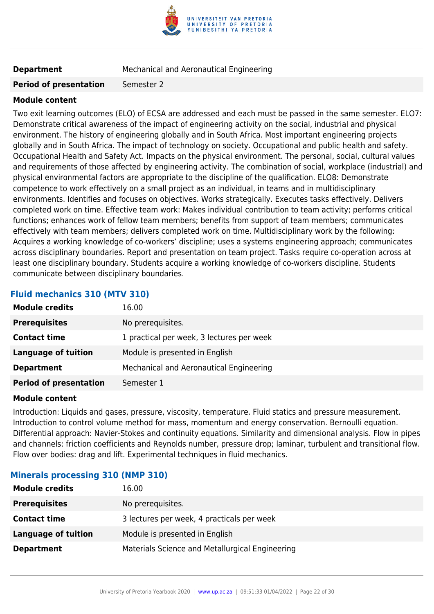

**Department** Mechanical and Aeronautical Engineering

#### **Period of presentation** Semester 2

#### **Module content**

Two exit learning outcomes (ELO) of ECSA are addressed and each must be passed in the same semester. ELO7: Demonstrate critical awareness of the impact of engineering activity on the social, industrial and physical environment. The history of engineering globally and in South Africa. Most important engineering projects globally and in South Africa. The impact of technology on society. Occupational and public health and safety. Occupational Health and Safety Act. Impacts on the physical environment. The personal, social, cultural values and requirements of those affected by engineering activity. The combination of social, workplace (industrial) and physical environmental factors are appropriate to the discipline of the qualification. ELO8: Demonstrate competence to work effectively on a small project as an individual, in teams and in multidisciplinary environments. Identifies and focuses on objectives. Works strategically. Executes tasks effectively. Delivers completed work on time. Effective team work: Makes individual contribution to team activity; performs critical functions; enhances work of fellow team members; benefits from support of team members; communicates effectively with team members; delivers completed work on time. Multidisciplinary work by the following: Acquires a working knowledge of co-workers' discipline; uses a systems engineering approach; communicates across disciplinary boundaries. Report and presentation on team project. Tasks require co-operation across at least one disciplinary boundary. Students acquire a working knowledge of co-workers discipline. Students communicate between disciplinary boundaries.

# **Fluid mechanics 310 (MTV 310)**

| <b>Module credits</b>         | 16.00                                     |
|-------------------------------|-------------------------------------------|
| <b>Prerequisites</b>          | No prerequisites.                         |
| <b>Contact time</b>           | 1 practical per week, 3 lectures per week |
| Language of tuition           | Module is presented in English            |
| <b>Department</b>             | Mechanical and Aeronautical Engineering   |
| <b>Period of presentation</b> | Semester 1                                |

#### **Module content**

Introduction: Liquids and gases, pressure, viscosity, temperature. Fluid statics and pressure measurement. Introduction to control volume method for mass, momentum and energy conservation. Bernoulli equation. Differential approach: Navier-Stokes and continuity equations. Similarity and dimensional analysis. Flow in pipes and channels: friction coefficients and Reynolds number, pressure drop; laminar, turbulent and transitional flow. Flow over bodies: drag and lift. Experimental techniques in fluid mechanics.

#### **Minerals processing 310 (NMP 310)**

| <b>Module credits</b>      | 16.00                                           |
|----------------------------|-------------------------------------------------|
| <b>Prerequisites</b>       | No prerequisites.                               |
| <b>Contact time</b>        | 3 lectures per week, 4 practicals per week      |
| <b>Language of tuition</b> | Module is presented in English                  |
| <b>Department</b>          | Materials Science and Metallurgical Engineering |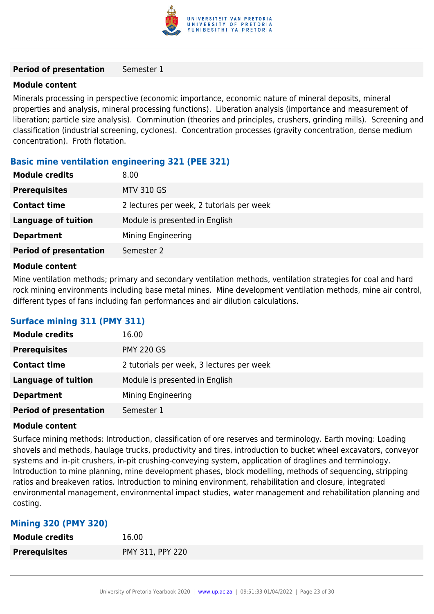

#### **Period of presentation** Semester 1

#### **Module content**

Minerals processing in perspective (economic importance, economic nature of mineral deposits, mineral properties and analysis, mineral processing functions). Liberation analysis (importance and measurement of liberation; particle size analysis). Comminution (theories and principles, crushers, grinding mills). Screening and classification (industrial screening, cyclones). Concentration processes (gravity concentration, dense medium concentration). Froth flotation.

## **Basic mine ventilation engineering 321 (PEE 321)**

| <b>Module credits</b>         | 8.00                                      |
|-------------------------------|-------------------------------------------|
| <b>Prerequisites</b>          | <b>MTV 310 GS</b>                         |
| <b>Contact time</b>           | 2 lectures per week, 2 tutorials per week |
| <b>Language of tuition</b>    | Module is presented in English            |
| <b>Department</b>             | Mining Engineering                        |
| <b>Period of presentation</b> | Semester 2                                |
|                               |                                           |

#### **Module content**

Mine ventilation methods; primary and secondary ventilation methods, ventilation strategies for coal and hard rock mining environments including base metal mines. Mine development ventilation methods, mine air control, different types of fans including fan performances and air dilution calculations.

# **Surface mining 311 (PMY 311)**

| <b>Module credits</b>         | 16.00                                     |  |
|-------------------------------|-------------------------------------------|--|
| <b>Prerequisites</b>          | <b>PMY 220 GS</b>                         |  |
| <b>Contact time</b>           | 2 tutorials per week, 3 lectures per week |  |
| <b>Language of tuition</b>    | Module is presented in English            |  |
| <b>Department</b>             | Mining Engineering                        |  |
| <b>Period of presentation</b> | Semester 1                                |  |

#### **Module content**

Surface mining methods: Introduction, classification of ore reserves and terminology. Earth moving: Loading shovels and methods, haulage trucks, productivity and tires, introduction to bucket wheel excavators, conveyor systems and in-pit crushers, in-pit crushing-conveying system, application of draglines and terminology. Introduction to mine planning, mine development phases, block modelling, methods of sequencing, stripping ratios and breakeven ratios. Introduction to mining environment, rehabilitation and closure, integrated environmental management, environmental impact studies, water management and rehabilitation planning and costing.

#### **Mining 320 (PMY 320)**

| <b>Module credits</b> | 16.00            |
|-----------------------|------------------|
| <b>Prerequisites</b>  | PMY 311, PPY 220 |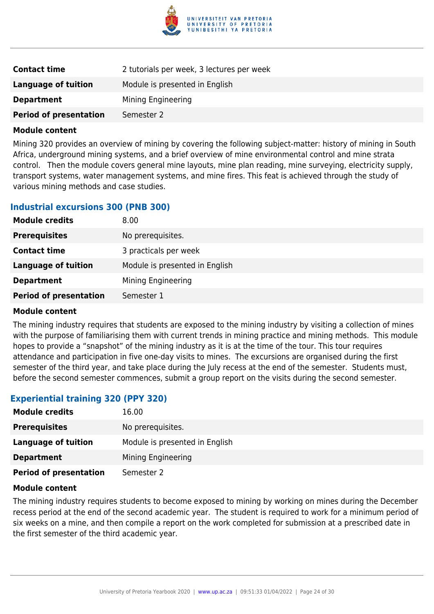

| <b>Contact time</b>           | 2 tutorials per week, 3 lectures per week |  |
|-------------------------------|-------------------------------------------|--|
| Language of tuition           | Module is presented in English            |  |
| <b>Department</b>             | Mining Engineering                        |  |
| <b>Period of presentation</b> | Semester 2                                |  |

Mining 320 provides an overview of mining by covering the following subject-matter: history of mining in South Africa, underground mining systems, and a brief overview of mine environmental control and mine strata control. Then the module covers general mine layouts, mine plan reading, mine surveying, electricity supply, transport systems, water management systems, and mine fires. This feat is achieved through the study of various mining methods and case studies.

## **Industrial excursions 300 (PNB 300)**

| <b>Module credits</b>         | 8.00                           |
|-------------------------------|--------------------------------|
| <b>Prerequisites</b>          | No prerequisites.              |
| <b>Contact time</b>           | 3 practicals per week          |
| <b>Language of tuition</b>    | Module is presented in English |
| <b>Department</b>             | Mining Engineering             |
| <b>Period of presentation</b> | Semester 1                     |
|                               |                                |

#### **Module content**

The mining industry requires that students are exposed to the mining industry by visiting a collection of mines with the purpose of familiarising them with current trends in mining practice and mining methods. This module hopes to provide a "snapshot" of the mining industry as it is at the time of the tour. This tour requires attendance and participation in five one-day visits to mines. The excursions are organised during the first semester of the third year, and take place during the July recess at the end of the semester. Students must, before the second semester commences, submit a group report on the visits during the second semester.

# **Experiential training 320 (PPY 320)**

| <b>Module credits</b>         | 16.00                          |
|-------------------------------|--------------------------------|
| <b>Prerequisites</b>          | No prerequisites.              |
| Language of tuition           | Module is presented in English |
| <b>Department</b>             | Mining Engineering             |
| <b>Period of presentation</b> | Semester 2                     |

#### **Module content**

The mining industry requires students to become exposed to mining by working on mines during the December recess period at the end of the second academic year. The student is required to work for a minimum period of six weeks on a mine, and then compile a report on the work completed for submission at a prescribed date in the first semester of the third academic year.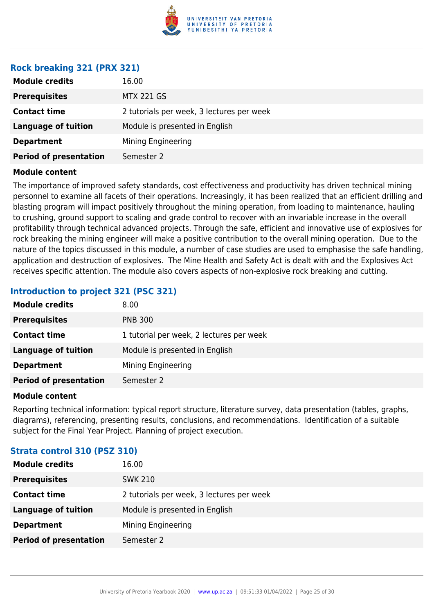

#### **Rock breaking 321 (PRX 321)**

| <b>Module credits</b>         | 16.00                                     |  |
|-------------------------------|-------------------------------------------|--|
| <b>Prerequisites</b>          | <b>MTX 221 GS</b>                         |  |
| <b>Contact time</b>           | 2 tutorials per week, 3 lectures per week |  |
| <b>Language of tuition</b>    | Module is presented in English            |  |
| <b>Department</b>             | Mining Engineering                        |  |
| <b>Period of presentation</b> | Semester 2                                |  |

#### **Module content**

The importance of improved safety standards, cost effectiveness and productivity has driven technical mining personnel to examine all facets of their operations. Increasingly, it has been realized that an efficient drilling and blasting program will impact positively throughout the mining operation, from loading to maintenance, hauling to crushing, ground support to scaling and grade control to recover with an invariable increase in the overall profitability through technical advanced projects. Through the safe, efficient and innovative use of explosives for rock breaking the mining engineer will make a positive contribution to the overall mining operation. Due to the nature of the topics discussed in this module, a number of case studies are used to emphasise the safe handling, application and destruction of explosives. The Mine Health and Safety Act is dealt with and the Explosives Act receives specific attention. The module also covers aspects of non-explosive rock breaking and cutting.

# **Introduction to project 321 (PSC 321)**

| <b>Module credits</b>         | 8.00                                     |
|-------------------------------|------------------------------------------|
| <b>Prerequisites</b>          | <b>PNB 300</b>                           |
| <b>Contact time</b>           | 1 tutorial per week, 2 lectures per week |
| <b>Language of tuition</b>    | Module is presented in English           |
| <b>Department</b>             | Mining Engineering                       |
| <b>Period of presentation</b> | Semester 2                               |

#### **Module content**

Reporting technical information: typical report structure, literature survey, data presentation (tables, graphs, diagrams), referencing, presenting results, conclusions, and recommendations. Identification of a suitable subject for the Final Year Project. Planning of project execution.

# **Module credits** 16.00 **Prerequisites** SWK 210 **Contact time** 2 tutorials per week, 3 lectures per week **Language of tuition** Module is presented in English **Department** Mining Engineering **Period of presentation** Semester 2

#### **Strata control 310 (PSZ 310)**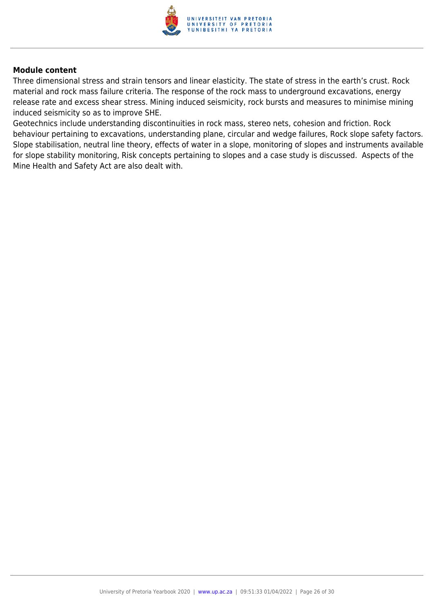

Three dimensional stress and strain tensors and linear elasticity. The state of stress in the earth's crust. Rock material and rock mass failure criteria. The response of the rock mass to underground excavations, energy release rate and excess shear stress. Mining induced seismicity, rock bursts and measures to minimise mining induced seismicity so as to improve SHE.

Geotechnics include understanding discontinuities in rock mass, stereo nets, cohesion and friction. Rock behaviour pertaining to excavations, understanding plane, circular and wedge failures, Rock slope safety factors. Slope stabilisation, neutral line theory, effects of water in a slope, monitoring of slopes and instruments available for slope stability monitoring, Risk concepts pertaining to slopes and a case study is discussed. Aspects of the Mine Health and Safety Act are also dealt with.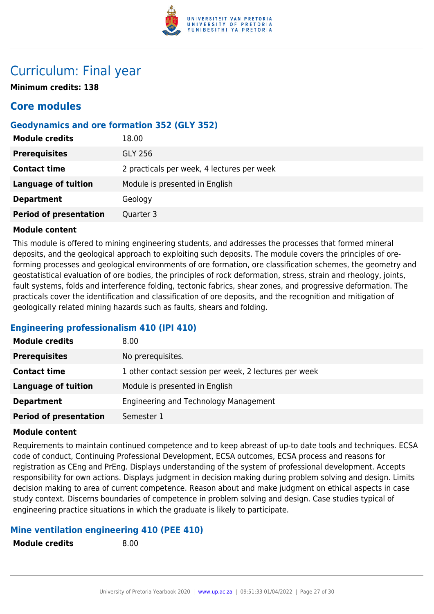

# Curriculum: Final year

**Minimum credits: 138**

# **Core modules**

# **Geodynamics and ore formation 352 (GLY 352)**

| <b>Module credits</b>         | 18.00                                      |
|-------------------------------|--------------------------------------------|
| <b>Prerequisites</b>          | <b>GLY 256</b>                             |
| <b>Contact time</b>           | 2 practicals per week, 4 lectures per week |
| Language of tuition           | Module is presented in English             |
| <b>Department</b>             | Geology                                    |
| <b>Period of presentation</b> | Quarter 3                                  |

#### **Module content**

This module is offered to mining engineering students, and addresses the processes that formed mineral deposits, and the geological approach to exploiting such deposits. The module covers the principles of oreforming processes and geological environments of ore formation, ore classification schemes, the geometry and geostatistical evaluation of ore bodies, the principles of rock deformation, stress, strain and rheology, joints, fault systems, folds and interference folding, tectonic fabrics, shear zones, and progressive deformation. The practicals cover the identification and classification of ore deposits, and the recognition and mitigation of geologically related mining hazards such as faults, shears and folding.

# **Engineering professionalism 410 (IPI 410)**

| <b>Module credits</b>         | 8.00                                                  |  |
|-------------------------------|-------------------------------------------------------|--|
| <b>Prerequisites</b>          | No prerequisites.                                     |  |
| <b>Contact time</b>           | 1 other contact session per week, 2 lectures per week |  |
| <b>Language of tuition</b>    | Module is presented in English                        |  |
| <b>Department</b>             | Engineering and Technology Management                 |  |
| <b>Period of presentation</b> | Semester 1                                            |  |

#### **Module content**

Requirements to maintain continued competence and to keep abreast of up-to date tools and techniques. ECSA code of conduct, Continuing Professional Development, ECSA outcomes, ECSA process and reasons for registration as CEng and PrEng. Displays understanding of the system of professional development. Accepts responsibility for own actions. Displays judgment in decision making during problem solving and design. Limits decision making to area of current competence. Reason about and make judgment on ethical aspects in case study context. Discerns boundaries of competence in problem solving and design. Case studies typical of engineering practice situations in which the graduate is likely to participate.

# **Mine ventilation engineering 410 (PEE 410)**

**Module credits** 8.00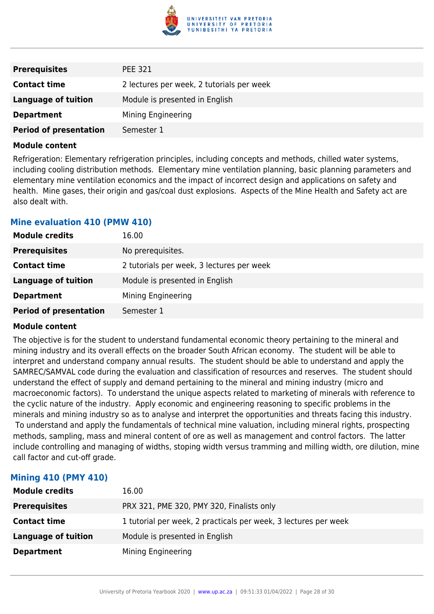

| <b>Prerequisites</b>          | <b>PEE 321</b>                            |  |
|-------------------------------|-------------------------------------------|--|
| <b>Contact time</b>           | 2 lectures per week, 2 tutorials per week |  |
| <b>Language of tuition</b>    | Module is presented in English            |  |
| <b>Department</b>             | Mining Engineering                        |  |
| <b>Period of presentation</b> | Semester 1                                |  |

Refrigeration: Elementary refrigeration principles, including concepts and methods, chilled water systems, including cooling distribution methods. Elementary mine ventilation planning, basic planning parameters and elementary mine ventilation economics and the impact of incorrect design and applications on safety and health. Mine gases, their origin and gas/coal dust explosions. Aspects of the Mine Health and Safety act are also dealt with.

#### **Mine evaluation 410 (PMW 410)**

| <b>Module credits</b>         | 16.00                                     |  |
|-------------------------------|-------------------------------------------|--|
| <b>Prerequisites</b>          | No prerequisites.                         |  |
| <b>Contact time</b>           | 2 tutorials per week, 3 lectures per week |  |
| <b>Language of tuition</b>    | Module is presented in English            |  |
| <b>Department</b>             | Mining Engineering                        |  |
| <b>Period of presentation</b> | Semester 1                                |  |

#### **Module content**

The objective is for the student to understand fundamental economic theory pertaining to the mineral and mining industry and its overall effects on the broader South African economy. The student will be able to interpret and understand company annual results. The student should be able to understand and apply the SAMREC/SAMVAL code during the evaluation and classification of resources and reserves. The student should understand the effect of supply and demand pertaining to the mineral and mining industry (micro and macroeconomic factors). To understand the unique aspects related to marketing of minerals with reference to the cyclic nature of the industry. Apply economic and engineering reasoning to specific problems in the minerals and mining industry so as to analyse and interpret the opportunities and threats facing this industry. To understand and apply the fundamentals of technical mine valuation, including mineral rights, prospecting methods, sampling, mass and mineral content of ore as well as management and control factors. The latter include controlling and managing of widths, stoping width versus tramming and milling width, ore dilution, mine call factor and cut-off grade.

|  | <b>Mining 410 (PMY 410)</b> |
|--|-----------------------------|
|--|-----------------------------|

| <b>Module credits</b>      | 16.00                                                           |
|----------------------------|-----------------------------------------------------------------|
| <b>Prerequisites</b>       | PRX 321, PME 320, PMY 320, Finalists only                       |
| <b>Contact time</b>        | 1 tutorial per week, 2 practicals per week, 3 lectures per week |
| <b>Language of tuition</b> | Module is presented in English                                  |
| <b>Department</b>          | Mining Engineering                                              |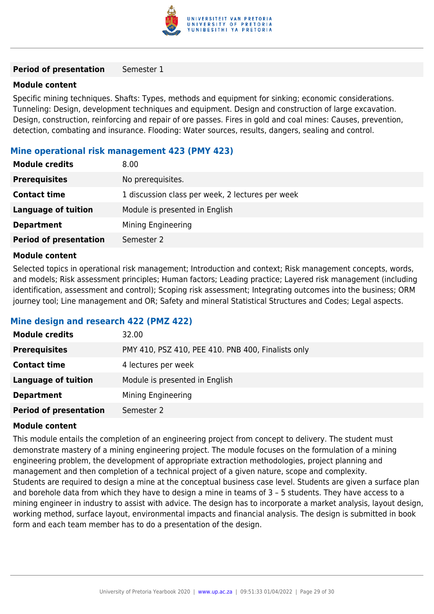

#### **Period of presentation** Semester 1

#### **Module content**

Specific mining techniques. Shafts: Types, methods and equipment for sinking; economic considerations. Tunneling: Design, development techniques and equipment. Design and construction of large excavation. Design, construction, reinforcing and repair of ore passes. Fires in gold and coal mines: Causes, prevention, detection, combating and insurance. Flooding: Water sources, results, dangers, sealing and control.

#### **Mine operational risk management 423 (PMY 423)**

| <b>Module credits</b>         | 8.00                                             |
|-------------------------------|--------------------------------------------------|
| <b>Prerequisites</b>          | No prerequisites.                                |
| <b>Contact time</b>           | 1 discussion class per week, 2 lectures per week |
| <b>Language of tuition</b>    | Module is presented in English                   |
| <b>Department</b>             | Mining Engineering                               |
| <b>Period of presentation</b> | Semester 2                                       |

#### **Module content**

Selected topics in operational risk management; Introduction and context; Risk management concepts, words, and models; Risk assessment principles; Human factors; Leading practice; Layered risk management (including identification, assessment and control); Scoping risk assessment; Integrating outcomes into the business; ORM journey tool; Line management and OR; Safety and mineral Statistical Structures and Codes; Legal aspects.

#### **Mine design and research 422 (PMZ 422)**

| <b>Module credits</b>         | 32.00                                              |
|-------------------------------|----------------------------------------------------|
| <b>Prerequisites</b>          | PMY 410, PSZ 410, PEE 410. PNB 400, Finalists only |
| <b>Contact time</b>           | 4 lectures per week                                |
| Language of tuition           | Module is presented in English                     |
| <b>Department</b>             | Mining Engineering                                 |
| <b>Period of presentation</b> | Semester 2                                         |

#### **Module content**

This module entails the completion of an engineering project from concept to delivery. The student must demonstrate mastery of a mining engineering project. The module focuses on the formulation of a mining engineering problem, the development of appropriate extraction methodologies, project planning and management and then completion of a technical project of a given nature, scope and complexity. Students are required to design a mine at the conceptual business case level. Students are given a surface plan and borehole data from which they have to design a mine in teams of 3 – 5 students. They have access to a mining engineer in industry to assist with advice. The design has to incorporate a market analysis, layout design, working method, surface layout, environmental impacts and financial analysis. The design is submitted in book form and each team member has to do a presentation of the design.